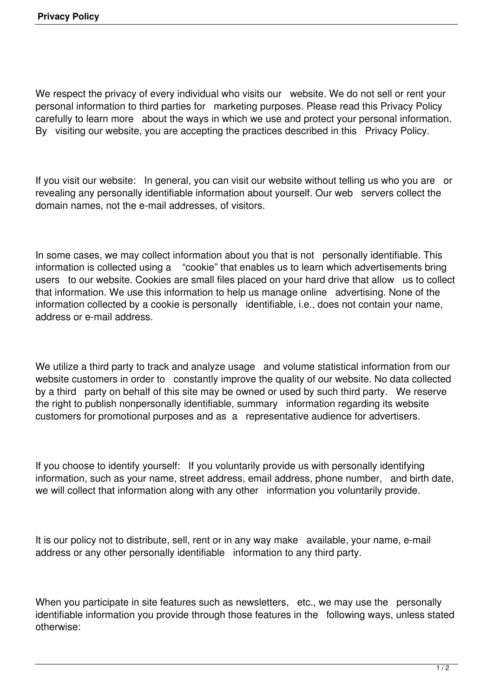We respect the privacy of every individual who visits our website. We do not sell or rent your personal information to third parties for marketing purposes. Please read this Privacy Policy carefully to learn more about the ways in which we use and protect your personal information. By visiting our website, you are accepting the practices described in this Privacy Policy.

If you visit our website: In general, you can visit our website without telling us who you are or revealing any personally identifiable information about yourself. Our web servers collect the domain names, not the e-mail addresses, of visitors.

In some cases, we may collect information about you that is not personally identifiable. This information is collected using a "cookie" that enables us to learn which advertisements bring users to our website. Cookies are small files placed on your hard drive that allow us to collect that information. We use this information to help us manage online advertising. None of the information collected by a cookie is personally identifiable, i.e., does not contain your name, address or e-mail address.

We utilize a third party to track and analyze usage and volume statistical information from our website customers in order to constantly improve the quality of our website. No data collected by a third party on behalf of this site may be owned or used by such third party. We reserve the right to publish nonpersonally identifiable, summary information regarding its website customers for promotional purposes and as a representative audience for advertisers.

If you choose to identify yourself: If you voluntarily provide us with personally identifying information, such as your name, street address, email address, phone number, and birth date, we will collect that information along with any other information you voluntarily provide.

It is our policy not to distribute, sell, rent or in any way make available, your name, e-mail address or any other personally identifiable information to any third party.

When you participate in site features such as newsletters, etc., we may use the personally identifiable information you provide through those features in the following ways, unless stated otherwise: